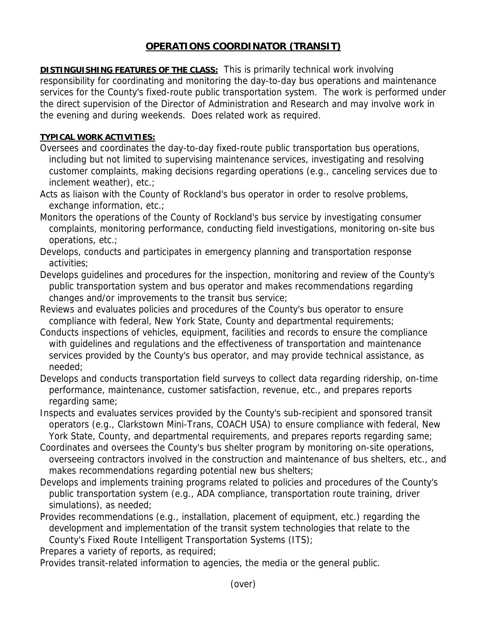## **OPERATIONS COORDINATOR (TRANSIT)**

**DISTINGUISHING FEATURES OF THE CLASS:** This is primarily technical work involving responsibility for coordinating and monitoring the day-to-day bus operations and maintenance services for the County's fixed-route public transportation system. The work is performed under the direct supervision of the Director of Administration and Research and may involve work in the evening and during weekends. Does related work as required.

## **TYPICAL WORK ACTIVITIES:**

- Oversees and coordinates the day-to-day fixed-route public transportation bus operations, including but not limited to supervising maintenance services, investigating and resolving customer complaints, making decisions regarding operations (e.g., canceling services due to inclement weather), etc.;
- Acts as liaison with the County of Rockland's bus operator in order to resolve problems, exchange information, etc.;
- Monitors the operations of the County of Rockland's bus service by investigating consumer complaints, monitoring performance, conducting field investigations, monitoring on-site bus operations, etc.;
- Develops, conducts and participates in emergency planning and transportation response activities;
- Develops guidelines and procedures for the inspection, monitoring and review of the County's public transportation system and bus operator and makes recommendations regarding changes and/or improvements to the transit bus service;
- Reviews and evaluates policies and procedures of the County's bus operator to ensure compliance with federal, New York State, County and departmental requirements;
- Conducts inspections of vehicles, equipment, facilities and records to ensure the compliance with guidelines and regulations and the effectiveness of transportation and maintenance services provided by the County's bus operator, and may provide technical assistance, as needed;
- Develops and conducts transportation field surveys to collect data regarding ridership, on-time performance, maintenance, customer satisfaction, revenue, etc., and prepares reports regarding same;
- Inspects and evaluates services provided by the County's sub-recipient and sponsored transit operators (e.g., Clarkstown Mini-Trans, COACH USA) to ensure compliance with federal, New York State, County, and departmental requirements, and prepares reports regarding same;
- Coordinates and oversees the County's bus shelter program by monitoring on-site operations, overseeing contractors involved in the construction and maintenance of bus shelters, etc., and makes recommendations regarding potential new bus shelters;
- Develops and implements training programs related to policies and procedures of the County's public transportation system (e.g., ADA compliance, transportation route training, driver simulations), as needed;
- Provides recommendations (e.g., installation, placement of equipment, etc.) regarding the development and implementation of the transit system technologies that relate to the County's Fixed Route Intelligent Transportation Systems (ITS);

Prepares a variety of reports, as required;

Provides transit-related information to agencies, the media or the general public.